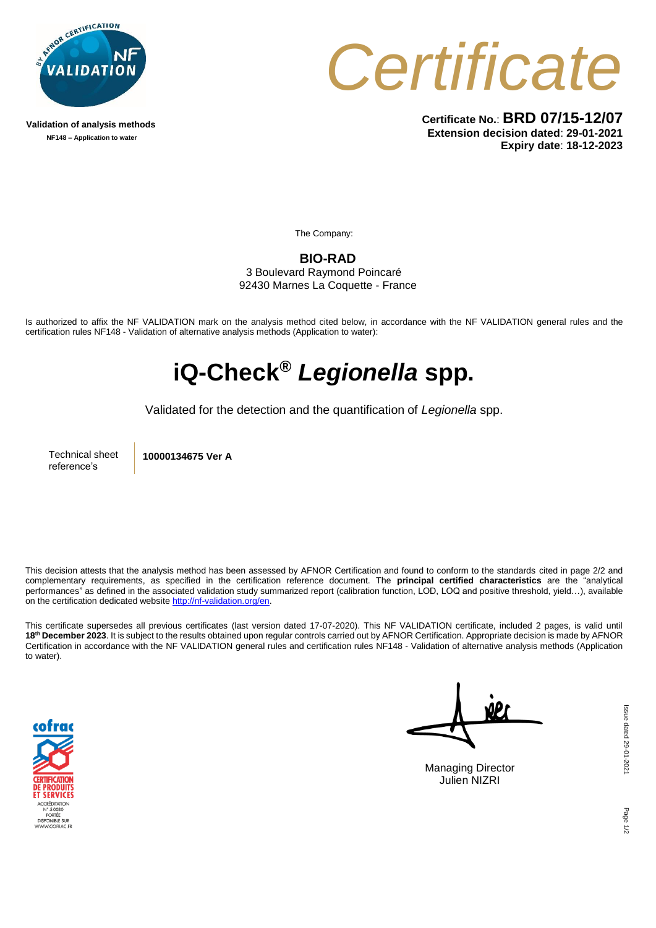

**Validation of analysis methods NF148 – Application to water**



**Certificate No.**: **BRD 07/15-12/07 Extension decision dated**: **29-01-2021 Expiry date**: **18-12-2023**

The Company:

**BIO-RAD** 3 Boulevard Raymond Poincaré 92430 Marnes La Coquette - France

Is authorized to affix the NF VALIDATION mark on the analysis method cited below, in accordance with the NF VALIDATION general rules and the certification rules NF148 - Validation of alternative analysis methods (Application to water):

## **iQ-Check®** *Legionella* **spp.**

Validated for the detection and the quantification of *Legionella* spp.

Technical sheet reference's

**10000134675 Ver A**

This decision attests that the analysis method has been assessed by AFNOR Certification and found to conform to the standards cited in page 2/2 and complementary requirements, as specified in the certification reference document. The **principal certified characteristics** are the "analytical performances" as defined in the associated validation study summarized report (calibration function, LOD, LOQ and positive threshold, yield…), available on the certification dedicated websit[e http://nf-validation.org/en.](http://nf-validation.org/en)

This certificate supersedes all previous certificates (last version dated 17-07-2020). This NF VALIDATION certificate, included 2 pages, is valid until **18th December 2023**. It is subject to the results obtained upon regular controls carried out by AFNOR Certification. Appropriate decision is made by AFNOR Certification in accordance with the NF VALIDATION general rules and certification rules NF148 - Validation of alternative analysis methods (Application to water).



Managing Director Julien NIZRI